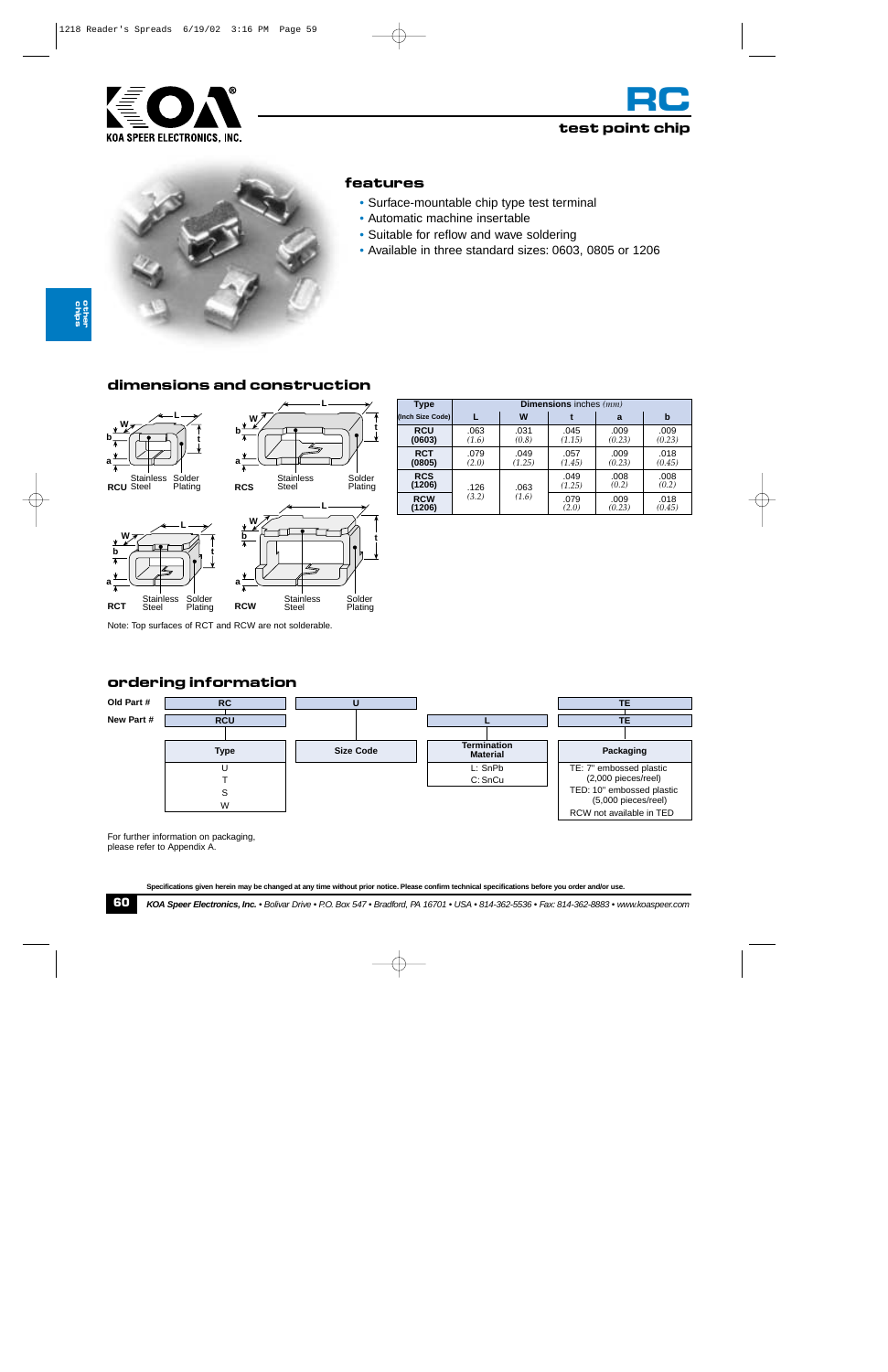





#### **features**

- Surface-mountable chip type test terminal
- Automatic machine insertable
- Suitable for reflow and wave soldering
- Available in three standard sizes: 0603, 0805 or 1206

# **dimensions and construction**



**a**

**b W** **L**



| <b>Type</b>          | <b>Dimensions</b> inches $(mm)$ |                |                |                |                |  |
|----------------------|---------------------------------|----------------|----------------|----------------|----------------|--|
| (Inch Size Code)     |                                 | W              |                | a              | b              |  |
| <b>RCU</b><br>(0603) | .063<br>(1.6)                   | .031<br>(0.8)  | .045<br>(1.15) | .009<br>(0.23) | .009<br>(0.23) |  |
| <b>RCT</b><br>(0805) | .079<br>(2.0)                   | .049<br>(1.25) | .057<br>(1.45) | .009<br>(0.23) | .018<br>(0.45) |  |
| <b>RCS</b><br>(1206) | .126<br>(3.2)                   | .063<br>(1.6)  | .049<br>(1.25) | .008<br>(0.2)  | .008<br>(0.2)  |  |
| <b>RCW</b><br>(1206) |                                 |                | .079<br>(2.0)  | .009<br>(0.23) | .018<br>(0.45) |  |

Note: Top surfaces of RCT and RCW are not solderable.

# **ordering information**



For further information on packaging, please refer to Appendix A.

**Specifications given herein may be changed at any time without prior notice. Please confirm technical specifications before you order and/or use.**